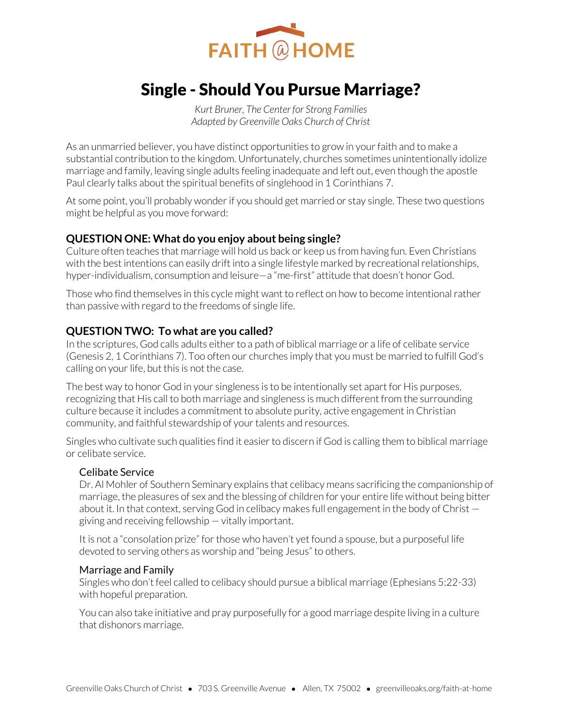

# Single - Should You Pursue Marriage?

*Kurt Bruner, The Center for Strong Families Adapted by Greenville Oaks Church of Christ* 

As an unmarried believer, you have distinct opportunities to grow in your faith and to make a substantial contribution to the kingdom. Unfortunately, churches sometimes unintentionally idolize marriage and family, leaving single adults feeling inadequate and left out, even though the apostle Paul clearly talks about the spiritual benefits of singlehood in 1 Corinthians 7.

At some point, you'll probably wonder if you should get married or stay single. These two questions might be helpful as you move forward:

## **QUESTION ONE: What do you enjoy about being single?**

Culture often teaches that marriage will hold us back or keep us from having fun. Even Christians with the best intentions can easily drift into a single lifestyle marked by recreational relationships, hyper-individualism, consumption and leisure—a "me-first" attitude that doesn't honor God.

Those who find themselves in this cycle might want to reflect on how to become intentional rather than passive with regard to the freedoms of single life.

## **QUESTION TWO: To what are you called?**

In the scriptures, God calls adults either to a path of biblical marriage or a life of celibate service (Genesis 2, 1 Corinthians 7). Too often our churches imply that you must be married to fulfill God's calling on your life, but this is not the case.

The best way to honor God in your singleness is to be intentionally set apart for His purposes, recognizing that His call to both marriage and singleness is much different from the surrounding culture because it includes a commitment to absolute purity, active engagement in Christian community, and faithful stewardship of your talents and resources.

Singles who cultivate such qualities find it easier to discern if God is calling them to biblical marriage or celibate service.

### Celibate Service

Dr. Al Mohler of Southern Seminary explains that celibacy means sacrificing the companionship of marriage, the pleasures of sex and the blessing of children for your entire life without being bitter about it. In that context, serving God in celibacy makes full engagement in the body of Christ giving and receiving fellowship — vitally important.

It is not a "consolation prize" for those who haven't yet found a spouse, but a purposeful life devoted to serving others as worship and "being Jesus" to others.

### Marriage and Family

Singles who don't feel called to celibacy should pursue a biblical marriage (Ephesians 5:22-33) with hopeful preparation.

You can also take initiative and pray purposefully for a good marriage despite living in a culture that dishonors marriage.